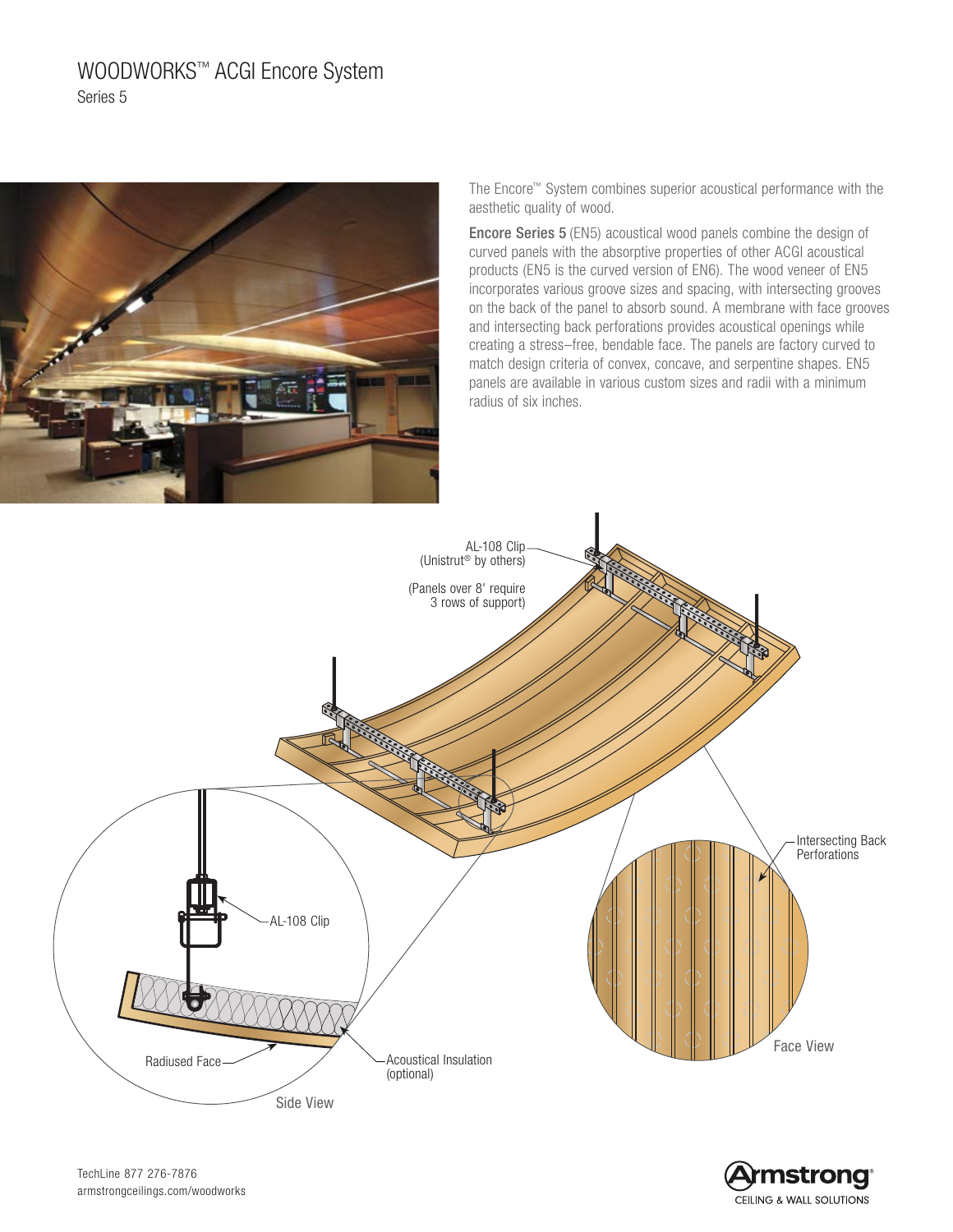# WOODWORKS™ ACGI Encore System Series 5



The Encore™ System combines superior acoustical performance with the aesthetic quality of wood.

Encore Series 5 (EN5) acoustical wood panels combine the design of curved panels with the absorptive properties of other ACGI acoustical products (EN5 is the curved version of EN6). The wood veneer of EN5 incorporates various groove sizes and spacing, with intersecting grooves on the back of the panel to absorb sound. A membrane with face grooves and intersecting back perforations provides acoustical openings while creating a stress–free, bendable face. The panels are factory curved to match design criteria of convex, concave, and serpentine shapes. EN5 panels are available in various custom sizes and radii with a minimum radius of six inches.